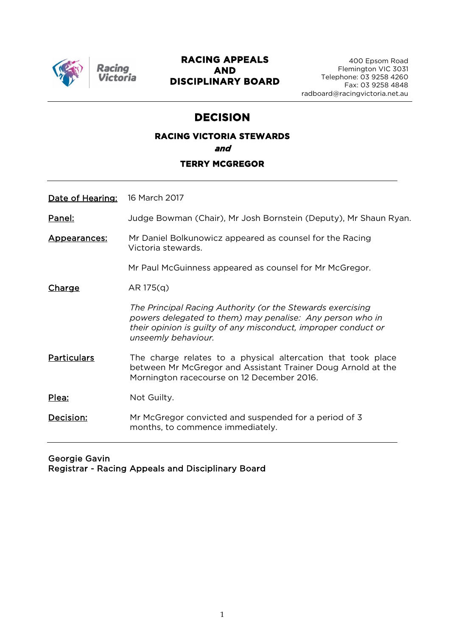

### **RACING APPEALS AND DISCIPLINARY BOARD**

# **DECISION**

# **RACING VICTORIA STEWARDS and TERRY MCGREGOR**

Date of Hearing: 16 March 2017

Panel: Judge Bowman (Chair), Mr Josh Bornstein (Deputy), Mr Shaun Ryan.

Appearances: Mr Daniel Bolkunowicz appeared as counsel for the Racing Victoria stewards.

Mr Paul McGuinness appeared as counsel for Mr McGregor.

 $Change$   $AR 175(a)$ 

*The Principal Racing Authority (or the Stewards exercising powers delegated to them) may penalise: Any person who in their opinion is guilty of any misconduct, improper conduct or unseemly behaviour.*

**Particulars** The charge relates to a physical altercation that took place between Mr McGregor and Assistant Trainer Doug Arnold at the Mornington racecourse on 12 December 2016.

Plea: Not Guilty.

Decision: Mr McGregor convicted and suspended for a period of 3 months, to commence immediately.

#### Georgie Gavin Registrar - Racing Appeals and Disciplinary Board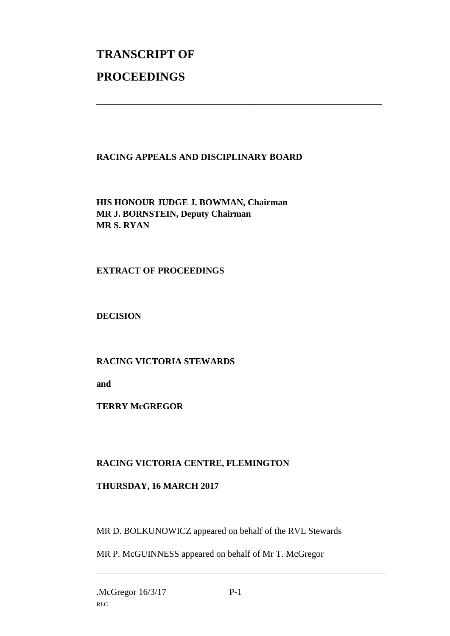# **TRANSCRIPT OF PROCEEDINGS**

### **RACING APPEALS AND DISCIPLINARY BOARD**

\_\_\_\_\_\_\_\_\_\_\_\_\_\_\_\_\_\_\_\_\_\_\_\_\_\_\_\_\_\_\_\_\_\_\_\_\_\_\_\_\_\_\_\_\_\_\_\_\_\_\_\_\_\_\_\_\_\_\_\_\_\_\_

**HIS HONOUR JUDGE J. BOWMAN, Chairman MR J. BORNSTEIN, Deputy Chairman MR S. RYAN**

#### **EXTRACT OF PROCEEDINGS**

**DECISION**

### **RACING VICTORIA STEWARDS**

**and**

**TERRY McGREGOR**

# **RACING VICTORIA CENTRE, FLEMINGTON**

### **THURSDAY, 16 MARCH 2017**

MR D. BOLKUNOWICZ appeared on behalf of the RVL Stewards

MR P. McGUINNESS appeared on behalf of Mr T. McGregor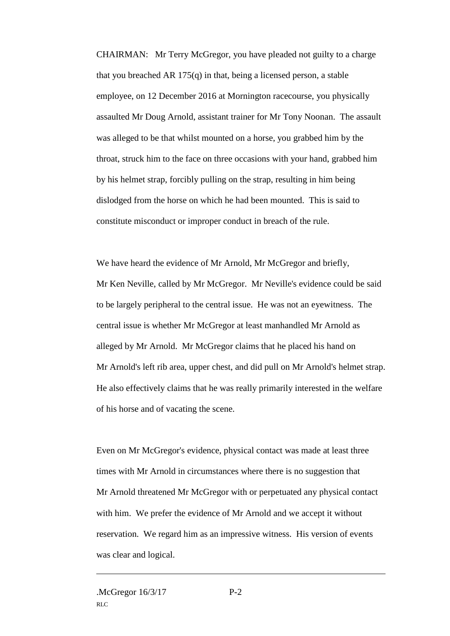CHAIRMAN: Mr Terry McGregor, you have pleaded not guilty to a charge that you breached AR 175(q) in that, being a licensed person, a stable employee, on 12 December 2016 at Mornington racecourse, you physically assaulted Mr Doug Arnold, assistant trainer for Mr Tony Noonan. The assault was alleged to be that whilst mounted on a horse, you grabbed him by the throat, struck him to the face on three occasions with your hand, grabbed him by his helmet strap, forcibly pulling on the strap, resulting in him being dislodged from the horse on which he had been mounted. This is said to constitute misconduct or improper conduct in breach of the rule.

We have heard the evidence of Mr Arnold, Mr McGregor and briefly, Mr Ken Neville, called by Mr McGregor. Mr Neville's evidence could be said to be largely peripheral to the central issue. He was not an eyewitness. The central issue is whether Mr McGregor at least manhandled Mr Arnold as alleged by Mr Arnold. Mr McGregor claims that he placed his hand on Mr Arnold's left rib area, upper chest, and did pull on Mr Arnold's helmet strap. He also effectively claims that he was really primarily interested in the welfare of his horse and of vacating the scene.

Even on Mr McGregor's evidence, physical contact was made at least three times with Mr Arnold in circumstances where there is no suggestion that Mr Arnold threatened Mr McGregor with or perpetuated any physical contact with him. We prefer the evidence of Mr Arnold and we accept it without reservation. We regard him as an impressive witness. His version of events was clear and logical.